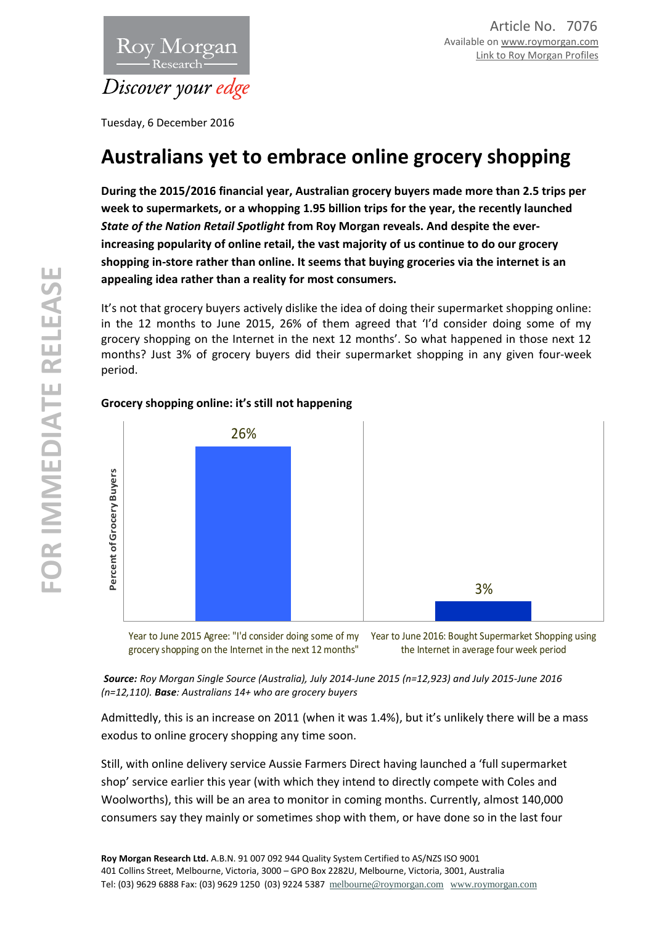

Tuesday, 6 December 2016

# **Australians yet to embrace online grocery shopping**

**During the 2015/2016 financial year, Australian grocery buyers made more than 2.5 trips per week to supermarkets, or a whopping 1.95 billion trips for the year, the recently launched**  *State of the Nation Retail Spotlight* **from Roy Morgan reveals. And despite the everincreasing popularity of online retail, the vast majority of us continue to do our grocery shopping in-store rather than online. It seems that buying groceries via the internet is an appealing idea rather than a reality for most consumers.**

It's not that grocery buyers actively dislike the idea of doing their supermarket shopping online: in the 12 months to June 2015, 26% of them agreed that 'I'd consider doing some of my grocery shopping on the Internet in the next 12 months'. So what happened in those next 12 months? Just 3% of grocery buyers did their supermarket shopping in any given four-week period.

# 26% 3% the Internet in average four week period<br>
Pear to June 2015 Agree: "I'd consider doing some of my **Pear to June 2016: Bought Supermarket Shopping**<br>
Pear to June 2015 Agree: "I'd consider doing some of my **Pear to June 2016**

# **Grocery shopping online: it's still not happening**

Year to June 2015 Agree: "I'd consider doing some of my grocery shopping on the Internet in the next 12 months" Year to June 2016: Bought Supermarket Shopping using

*Source: Roy Morgan Single Source (Australia), July 2014-June 2015 (n=12,923) and July 2015-June 2016 (n=12,110). Base: Australians 14+ who are grocery buyers*

Admittedly, this is an increase on 2011 (when it was 1.4%), but it's unlikely there will be a mass exodus to online grocery shopping any time soon.

Still, with online delivery service Aussie Farmers Direct having launched a 'full supermarket shop' service earlier this year (with which they intend to directly compete with Coles and Woolworths), this will be an area to monitor in coming months. Currently, almost 140,000 consumers say they mainly or sometimes shop with them, or have done so in the last four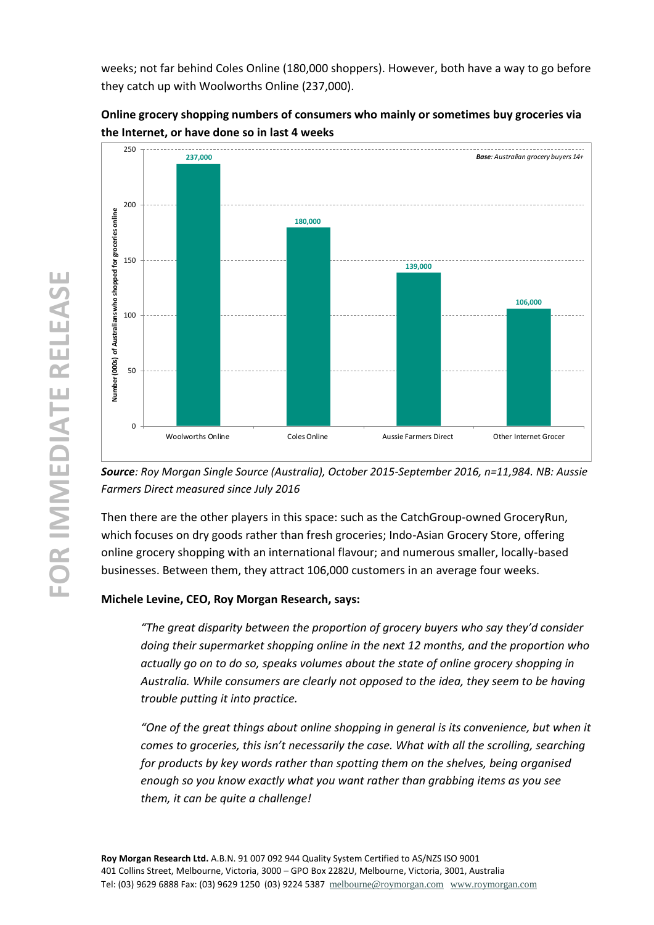weeks; not far behind Coles Online (180,000 shoppers). However, both have a way to go before they catch up with Woolworths Online (237,000).





*Source: Roy Morgan Single Source (Australia), October 2015-September 2016, n=11,984. NB: Aussie Farmers Direct measured since July 2016*

Then there are the other players in this space: such as the CatchGroup-owned GroceryRun, which focuses on dry goods rather than fresh groceries; Indo-Asian Grocery Store, offering online grocery shopping with an international flavour; and numerous smaller, locally-based businesses. Between them, they attract 106,000 customers in an average four weeks.

### **Michele Levine, CEO, Roy Morgan Research, says:**

*"The great disparity between the proportion of grocery buyers who say they'd consider doing their supermarket shopping online in the next 12 months, and the proportion who actually go on to do so, speaks volumes about the state of online grocery shopping in Australia. While consumers are clearly not opposed to the idea, they seem to be having trouble putting it into practice.*

*"One of the great things about online shopping in general is its convenience, but when it comes to groceries, this isn't necessarily the case. What with all the scrolling, searching for products by key words rather than spotting them on the shelves, being organised enough so you know exactly what you want rather than grabbing items as you see them, it can be quite a challenge!*